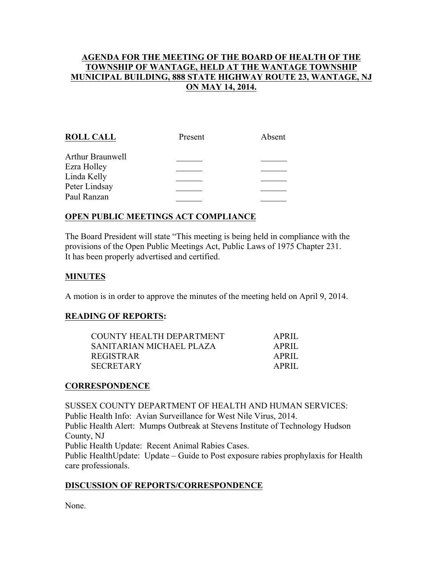## AGENDA FOR THE MEETING OF THE BOARD OF HEALTH OF THE TOWNSHIP OF WANTAGE, HELD AT THE WANTAGE TOWNSHIP MUNICIPAL BUILDING, 888 STATE HIGHWAY ROUTE 23, WANTAGE, NJ ON MAY 14, 2014.

| <b>ROLL CALL</b> | Present | Absent |
|------------------|---------|--------|
| Arthur Braunwell |         |        |
| Ezra Holley      |         |        |
| Linda Kelly      |         |        |
| Peter Lindsay    |         |        |
| Paul Ranzan      |         |        |
|                  |         |        |

## OPEN PUBLIC MEETINGS ACT COMPLIANCE

The Board President will state "This meeting is being held in compliance with the provisions of the Open Public Meetings Act, Public Laws of 1975 Chapter 231. It has been properly advertised and certified.

### MINUTES

A motion is in order to approve the minutes of the meeting held on April 9, 2014.

#### READING OF REPORTS:

| COUNTY HEALTH DEPARTMENT | APRIL |
|--------------------------|-------|
| SANITARIAN MICHAEL PLAZA | APRIL |
| REGISTRAR                | APRIL |
| SECRETARY                | APRIL |

#### **CORRESPONDENCE**

SUSSEX COUNTY DEPARTMENT OF HEALTH AND HUMAN SERVICES: Public Health Info: Avian Surveillance for West Nile Virus, 2014. Public Health Alert: Mumps Outbreak at Stevens Institute of Technology Hudson County, NJ Public Health Update: Recent Animal Rabies Cases. Public HealthUpdate: Update – Guide to Post exposure rabies prophylaxis for Health care professionals.

#### DISCUSSION OF REPORTS/CORRESPONDENCE

None.